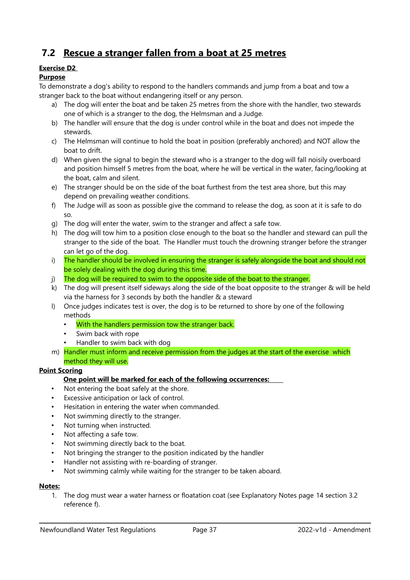# **7.2 Rescue a stranger fallen from a boat at 25 metres**

## **Exercise D2**

## **Purpose**

To demonstrate a dog's ability to respond to the handlers commands and jump from a boat and tow a stranger back to the boat without endangering itself or any person.

- a) The dog will enter the boat and be taken 25 metres from the shore with the handler, two stewards one of which is a stranger to the dog, the Helmsman and a Judge.
- b) The handler will ensure that the dog is under control while in the boat and does not impede the stewards.
- c) The Helmsman will continue to hold the boat in position (preferably anchored) and NOT allow the boat to drift.
- d) When given the signal to begin the steward who is a stranger to the dog will fall noisily overboard and position himself 5 metres from the boat, where he will be vertical in the water, facing/looking at the boat, calm and silent.
- e) The stranger should be on the side of the boat furthest from the test area shore, but this may depend on prevailing weather conditions.
- f) The Judge will as soon as possible give the command to release the dog, as soon at it is safe to do so.
- g) The dog will enter the water, swim to the stranger and affect a safe tow.
- h) The dog will tow him to a position close enough to the boat so the handler and steward can pull the stranger to the side of the boat. The Handler must touch the drowning stranger before the stranger can let go of the dog.
- i) The handler should be involved in ensuring the stranger is safely alongside the boat and should not be solely dealing with the dog during this time.
- j) The dog will be required to swim to the opposite side of the boat to the stranger.
- k) The dog will present itself sideways along the side of the boat opposite to the stranger & will be held via the harness for 3 seconds by both the handler & a steward
- l) Once judges indicates test is over, the dog is to be returned to shore by one of the following methods
	- With the handlers permission tow the stranger back.
	- Swim back with rope
	- Handler to swim back with dog
- m) Handler must inform and receive permission from the judges at the start of the exercise which method they will use.

## **Point Scoring**

## **One point will be marked for each of the following occurrences:**

- Not entering the boat safely at the shore.
- Excessive anticipation or lack of control.
- Hesitation in entering the water when commanded.
- Not swimming directly to the stranger.
- Not turning when instructed.
- Not affecting a safe tow.
- Not swimming directly back to the boat.
- Not bringing the stranger to the position indicated by the handler
- Handler not assisting with re-boarding of stranger.
- Not swimming calmly while waiting for the stranger to be taken aboard.

## **Notes:**

1. The dog must wear a water harness or floatation coat (see Explanatory Notes page 14 section 3.2 reference f).